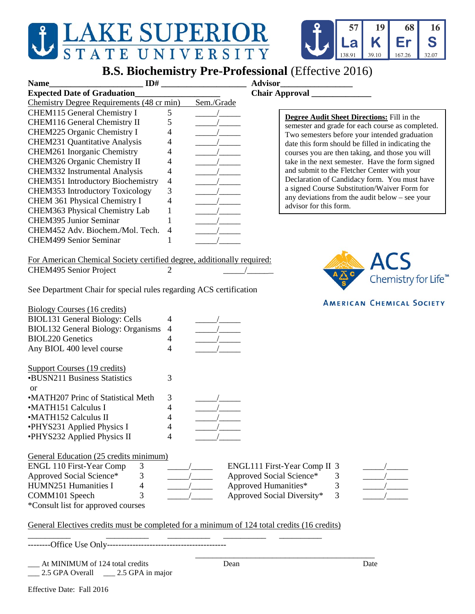## JEAKE SUPERIOR

## **B.S. Biochemistry Pre-Professional** (Effective 2016)

57

**a** 

138.91

19

K

39.10

68

Er

167.26

16 S

32.07

| <b>Name</b>                                                                                 | ID#                                                                                            | Advisor_                                                                                              |
|---------------------------------------------------------------------------------------------|------------------------------------------------------------------------------------------------|-------------------------------------------------------------------------------------------------------|
| <b>Expected Date of Graduation_</b>                                                         |                                                                                                |                                                                                                       |
| Chemistry Degree Requirements (48 cr min)                                                   | Sem./Grade                                                                                     |                                                                                                       |
| <b>CHEM115 General Chemistry I</b>                                                          | 5                                                                                              |                                                                                                       |
| <b>CHEM116 General Chemistry II</b>                                                         | 5                                                                                              | <b>Degree Audit Sheet Directions:</b> Fill in the<br>semester and grade for each course as completed. |
| CHEM225 Organic Chemistry I                                                                 | 4                                                                                              | Two semesters before your intended graduation                                                         |
| <b>CHEM231 Quantitative Analysis</b>                                                        | 4                                                                                              | date this form should be filled in indicating the                                                     |
| <b>CHEM261</b> Inorganic Chemistry                                                          | 4                                                                                              | courses you are then taking, and those you will                                                       |
| CHEM326 Organic Chemistry II                                                                | 4                                                                                              | take in the next semester. Have the form signed                                                       |
| <b>CHEM332</b> Instrumental Analysis                                                        | 4                                                                                              | and submit to the Fletcher Center with your                                                           |
| <b>CHEM351 Introductory Biochemistry</b>                                                    | $\overline{4}$                                                                                 | Declaration of Candidacy form. You must have                                                          |
| <b>CHEM353 Introductory Toxicology</b>                                                      | 3                                                                                              | a signed Course Substitution/Waiver Form for                                                          |
| <b>CHEM 361 Physical Chemistry I</b>                                                        | 4                                                                                              | any deviations from the audit below - see your                                                        |
| CHEM363 Physical Chemistry Lab                                                              | $\mathbf 1$                                                                                    | advisor for this form.                                                                                |
| <b>CHEM395 Junior Seminar</b>                                                               |                                                                                                |                                                                                                       |
| CHEM452 Adv. Biochem./Mol. Tech.                                                            | 4                                                                                              |                                                                                                       |
| <b>CHEM499 Senior Seminar</b>                                                               | 1                                                                                              |                                                                                                       |
|                                                                                             |                                                                                                |                                                                                                       |
| For American Chemical Society certified degree, additionally required:                      |                                                                                                |                                                                                                       |
| <b>CHEM495 Senior Project</b>                                                               | 2                                                                                              | <b>ACS</b>                                                                                            |
|                                                                                             |                                                                                                | Chemistry for Life <sup>™</sup>                                                                       |
| See Department Chair for special rules regarding ACS certification                          |                                                                                                |                                                                                                       |
|                                                                                             |                                                                                                |                                                                                                       |
| <b>Biology Courses (16 credits)</b>                                                         |                                                                                                | <b>AMERICAN CHEMICAL SOCIETY</b>                                                                      |
| <b>BIOL131 General Biology: Cells</b>                                                       | 4                                                                                              |                                                                                                       |
| <b>BIOL132 General Biology: Organisms</b>                                                   | $\frac{1}{\sqrt{1-\frac{1}{2}}}\left( \frac{1}{\sqrt{1-\frac{1}{2}}}\right)$<br>$\overline{4}$ |                                                                                                       |
| <b>BIOL220 Genetics</b>                                                                     | 4                                                                                              |                                                                                                       |
| Any BIOL 400 level course                                                                   | 4                                                                                              |                                                                                                       |
|                                                                                             |                                                                                                |                                                                                                       |
| <b>Support Courses (19 credits)</b>                                                         |                                                                                                |                                                                                                       |
| <b>BUSN211 Business Statistics</b>                                                          | 3                                                                                              |                                                                                                       |
| <b>or</b>                                                                                   |                                                                                                |                                                                                                       |
| •MATH207 Princ of Statistical Meth                                                          | 3                                                                                              |                                                                                                       |
| •MATH151 Calculus I                                                                         | 4                                                                                              |                                                                                                       |
| •MATH152 Calculus II                                                                        | 4                                                                                              |                                                                                                       |
| •PHYS231 Applied Physics I                                                                  |                                                                                                |                                                                                                       |
| •PHYS232 Applied Physics II                                                                 | 4                                                                                              |                                                                                                       |
|                                                                                             |                                                                                                |                                                                                                       |
| General Education (25 credits minimum)                                                      |                                                                                                |                                                                                                       |
| <b>ENGL 110 First-Year Comp</b><br>3                                                        |                                                                                                | ENGL111 First-Year Comp II 3                                                                          |
| Approved Social Science*<br>3                                                               |                                                                                                | Approved Social Science*<br>3                                                                         |
| HUMN251 Humanities I<br>4                                                                   |                                                                                                | Approved Humanities*<br>3                                                                             |
| COMM101 Speech<br>3                                                                         |                                                                                                | Approved Social Diversity*<br>3                                                                       |
| *Consult list for approved courses                                                          |                                                                                                |                                                                                                       |
| General Electives credits must be completed for a minimum of 124 total credits (16 credits) |                                                                                                |                                                                                                       |
|                                                                                             |                                                                                                |                                                                                                       |
|                                                                                             |                                                                                                |                                                                                                       |
| At MINIMUM of 124 total credits                                                             | Dean                                                                                           | Date                                                                                                  |
| 2.5 GPA Overall _____ 2.5 GPA in major                                                      |                                                                                                |                                                                                                       |